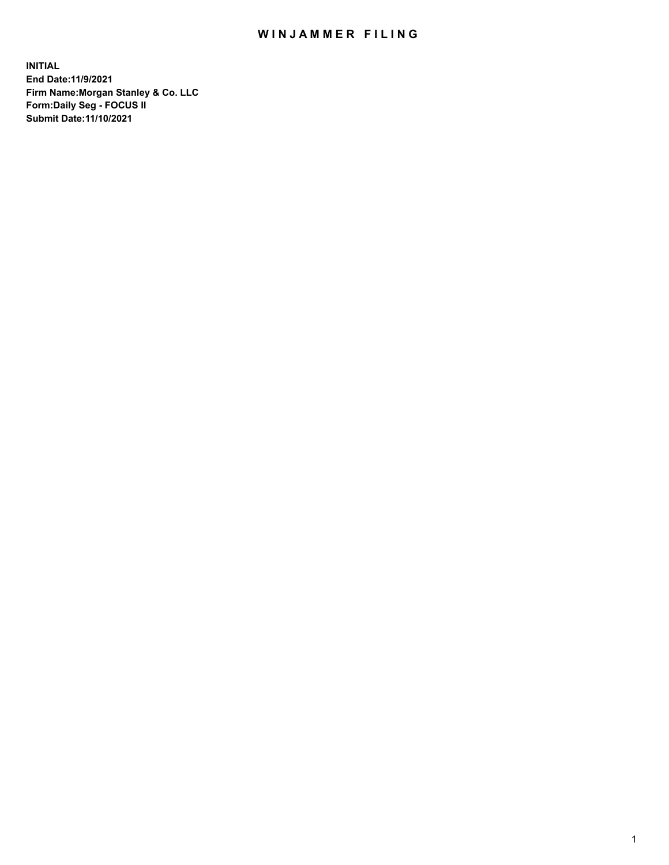## WIN JAMMER FILING

**INITIAL End Date:11/9/2021 Firm Name:Morgan Stanley & Co. LLC Form:Daily Seg - FOCUS II Submit Date:11/10/2021**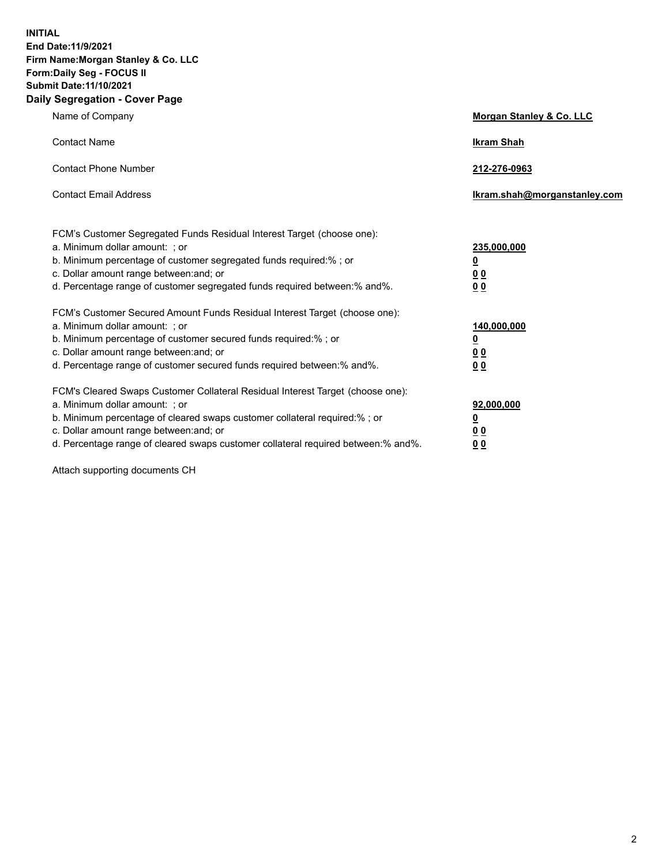**INITIAL End Date:11/9/2021 Firm Name:Morgan Stanley & Co. LLC Form:Daily Seg - FOCUS II Submit Date:11/10/2021 Daily Segregation - Cover Page**

| Name of Company                                                                                                                                                                                                                                                                                                               | Morgan Stanley & Co. LLC                               |
|-------------------------------------------------------------------------------------------------------------------------------------------------------------------------------------------------------------------------------------------------------------------------------------------------------------------------------|--------------------------------------------------------|
| <b>Contact Name</b>                                                                                                                                                                                                                                                                                                           | <b>Ikram Shah</b>                                      |
| <b>Contact Phone Number</b>                                                                                                                                                                                                                                                                                                   | 212-276-0963                                           |
| <b>Contact Email Address</b>                                                                                                                                                                                                                                                                                                  | Ikram.shah@morganstanley.com                           |
| FCM's Customer Segregated Funds Residual Interest Target (choose one):<br>a. Minimum dollar amount: ; or<br>b. Minimum percentage of customer segregated funds required:% ; or<br>c. Dollar amount range between: and; or<br>d. Percentage range of customer segregated funds required between:% and%.                        | 235,000,000<br><u>0</u><br>0 Q<br><u>00</u>            |
| FCM's Customer Secured Amount Funds Residual Interest Target (choose one):<br>a. Minimum dollar amount: ; or<br>b. Minimum percentage of customer secured funds required:%; or<br>c. Dollar amount range between: and; or<br>d. Percentage range of customer secured funds required between:% and%.                           | 140,000,000<br><u>0</u><br><u>00</u><br>0 <sup>0</sup> |
| FCM's Cleared Swaps Customer Collateral Residual Interest Target (choose one):<br>a. Minimum dollar amount: ; or<br>b. Minimum percentage of cleared swaps customer collateral required:%; or<br>c. Dollar amount range between: and; or<br>d. Percentage range of cleared swaps customer collateral required between:% and%. | 92,000,000<br><u>0</u><br><u>0 0</u><br>00             |

Attach supporting documents CH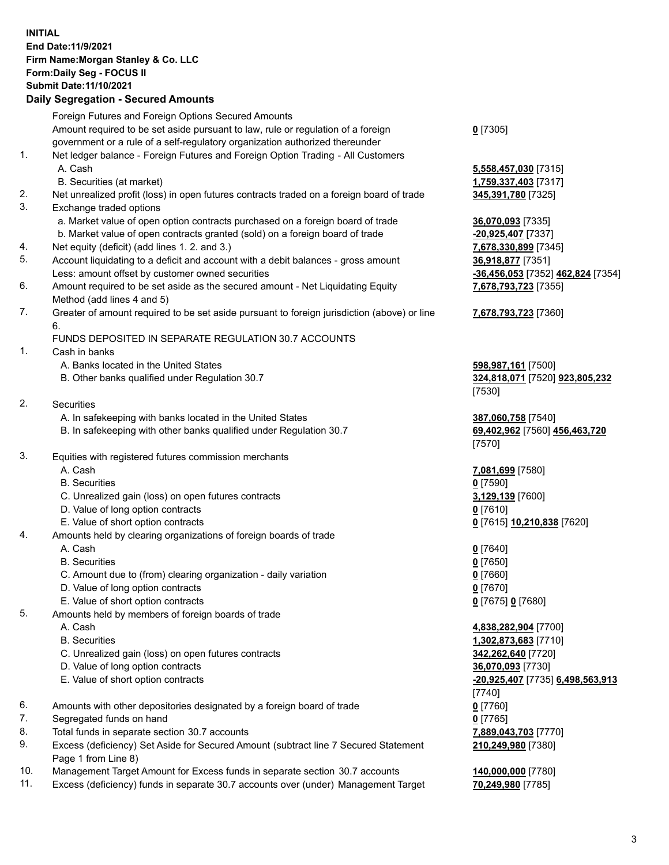## **INITIAL End Date:11/9/2021 Firm Name:Morgan Stanley & Co. LLC Form:Daily Seg - FOCUS II Submit Date:11/10/2021**

## **Daily Segregation - Secured Amounts**

Foreign Futures and Foreign Options Secured Amounts Amount required to be set aside pursuant to law, rule or regulation of a foreign government or a rule of a self-regulatory organization authorized thereunder **0** [7305] 1. Net ledger balance - Foreign Futures and Foreign Option Trading - All Customers A. Cash **5,558,457,030** [7315] B. Securities (at market) **1,759,337,403** [7317] 2. Net unrealized profit (loss) in open futures contracts traded on a foreign board of trade **345,391,780** [7325] 3. Exchange traded options a. Market value of open option contracts purchased on a foreign board of trade **36,070,093** [7335] b. Market value of open contracts granted (sold) on a foreign board of trade **-20,925,407** [7337] 4. Net equity (deficit) (add lines 1. 2. and 3.) **7,678,330,899** [7345] 5. Account liquidating to a deficit and account with a debit balances - gross amount **36,918,877** [7351] Less: amount offset by customer owned securities **-36,456,053** [7352] **462,824** [7354] 6. Amount required to be set aside as the secured amount - Net Liquidating Equity Method (add lines 4 and 5) 7. Greater of amount required to be set aside pursuant to foreign jurisdiction (above) or line 6. FUNDS DEPOSITED IN SEPARATE REGULATION 30.7 ACCOUNTS 1. Cash in banks A. Banks located in the United States **598,987,161** [7500] B. Other banks qualified under Regulation 30.7 **324,818,071** [7520] **923,805,232** [7530] 2. Securities A. In safekeeping with banks located in the United States **387,060,758** [7540] B. In safekeeping with other banks qualified under Regulation 30.7 **69,402,962** [7560] **456,463,720** [7570] 3. Equities with registered futures commission merchants A. Cash **7,081,699** [7580] B. Securities **0** [7590] C. Unrealized gain (loss) on open futures contracts **3,129,139** [7600] D. Value of long option contracts **0** [7610] E. Value of short option contracts **0** [7615] **10,210,838** [7620] 4. Amounts held by clearing organizations of foreign boards of trade A. Cash **0** [7640] B. Securities **0** [7650] C. Amount due to (from) clearing organization - daily variation **0** [7660] D. Value of long option contracts **0** [7670] E. Value of short option contracts **0** [7675] **0** [7680] 5. Amounts held by members of foreign boards of trade A. Cash **4,838,282,904** [7700] B. Securities **1,302,873,683** [7710] C. Unrealized gain (loss) on open futures contracts **342,262,640** [7720] D. Value of long option contracts **36,070,093** [7730] E. Value of short option contracts **-20,925,407** [7735] **6,498,563,913** [7740] 6. Amounts with other depositories designated by a foreign board of trade **0** [7760] 7. Segregated funds on hand **0** [7765] 8. Total funds in separate section 30.7 accounts **7,889,043,703** [7770] 9. Excess (deficiency) Set Aside for Secured Amount (subtract line 7 Secured Statement Page 1 from Line 8)

- 10. Management Target Amount for Excess funds in separate section 30.7 accounts **140,000,000** [7780]
- 11. Excess (deficiency) funds in separate 30.7 accounts over (under) Management Target **70,249,980** [7785]

**7,678,793,723** [7355]

## **7,678,793,723** [7360]

**210,249,980** [7380]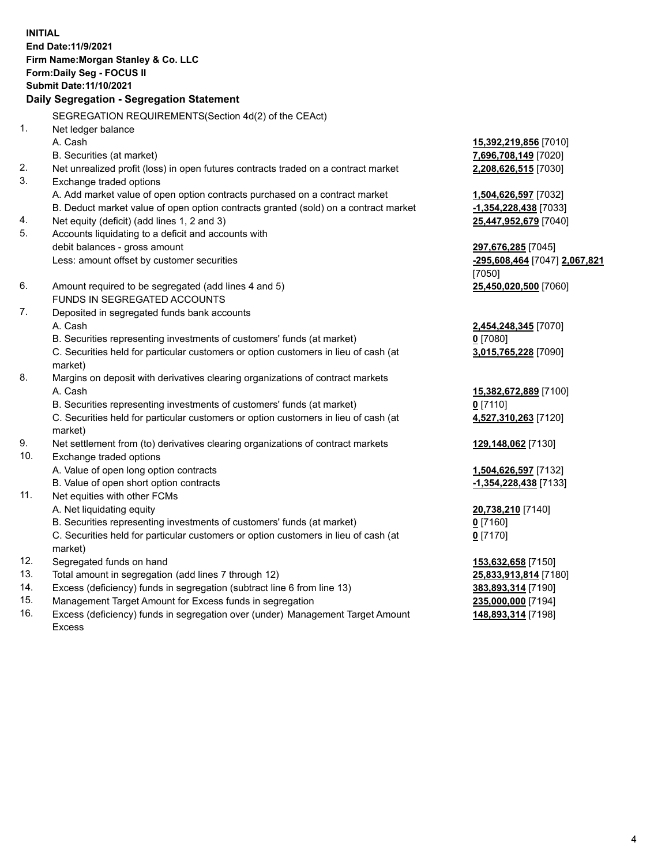**INITIAL End Date:11/9/2021 Firm Name:Morgan Stanley & Co. LLC Form:Daily Seg - FOCUS II Submit Date:11/10/2021 Daily Segregation - Segregation Statement** SEGREGATION REQUIREMENTS(Section 4d(2) of the CEAct) 1. Net ledger balance A. Cash **15,392,219,856** [7010] B. Securities (at market) **7,696,708,149** [7020] 2. Net unrealized profit (loss) in open futures contracts traded on a contract market **2,208,626,515** [7030] 3. Exchange traded options A. Add market value of open option contracts purchased on a contract market **1,504,626,597** [7032] B. Deduct market value of open option contracts granted (sold) on a contract market **-1,354,228,438** [7033] 4. Net equity (deficit) (add lines 1, 2 and 3) **25,447,952,679** [7040] 5. Accounts liquidating to a deficit and accounts with debit balances - gross amount **297,676,285** [7045] Less: amount offset by customer securities **-295,608,464** [7047] **2,067,821** [7050] 6. Amount required to be segregated (add lines 4 and 5) **25,450,020,500** [7060] FUNDS IN SEGREGATED ACCOUNTS 7. Deposited in segregated funds bank accounts A. Cash **2,454,248,345** [7070] B. Securities representing investments of customers' funds (at market) **0** [7080] C. Securities held for particular customers or option customers in lieu of cash (at market) **3,015,765,228** [7090] 8. Margins on deposit with derivatives clearing organizations of contract markets A. Cash **15,382,672,889** [7100] B. Securities representing investments of customers' funds (at market) **0** [7110] C. Securities held for particular customers or option customers in lieu of cash (at market) **4,527,310,263** [7120] 9. Net settlement from (to) derivatives clearing organizations of contract markets **129,148,062** [7130] 10. Exchange traded options A. Value of open long option contracts **1,504,626,597** [7132] B. Value of open short option contracts **-1,354,228,438** [7133] 11. Net equities with other FCMs A. Net liquidating equity **20,738,210** [7140] B. Securities representing investments of customers' funds (at market) **0** [7160] C. Securities held for particular customers or option customers in lieu of cash (at market) **0** [7170] 12. Segregated funds on hand **153,632,658** [7150] 13. Total amount in segregation (add lines 7 through 12) **25,833,913,814** [7180] 14. Excess (deficiency) funds in segregation (subtract line 6 from line 13) **383,893,314** [7190] 15. Management Target Amount for Excess funds in segregation **235,000,000** [7194]

16. Excess (deficiency) funds in segregation over (under) Management Target Amount Excess

**148,893,314** [7198]